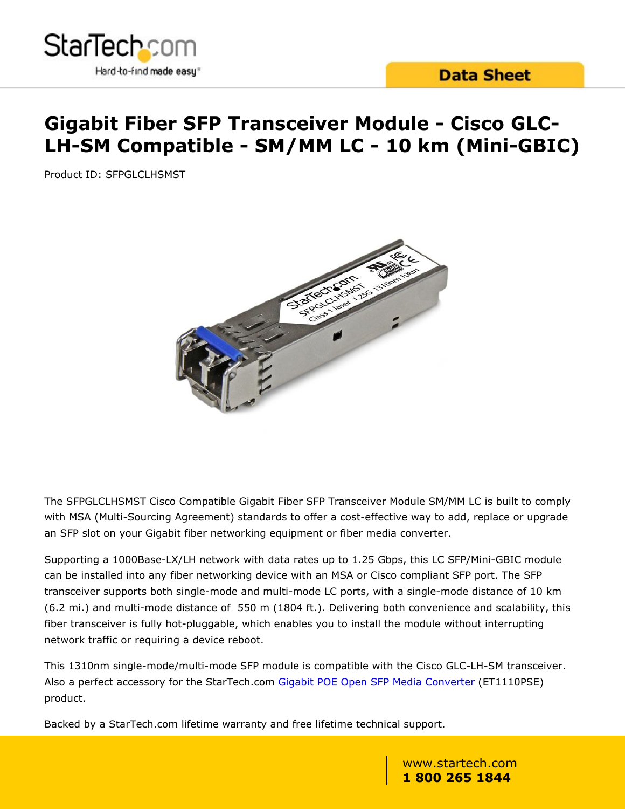

# **Gigabit Fiber SFP Transceiver Module - Cisco GLC-LH-SM Compatible - SM/MM LC - 10 km (Mini-GBIC)**

Product ID: SFPGLCLHSMST



The SFPGLCLHSMST Cisco Compatible Gigabit Fiber SFP Transceiver Module SM/MM LC is built to comply with MSA (Multi-Sourcing Agreement) standards to offer a cost-effective way to add, replace or upgrade an SFP slot on your Gigabit fiber networking equipment or fiber media converter.

Supporting a 1000Base-LX/LH network with data rates up to 1.25 Gbps, this LC SFP/Mini-GBIC module can be installed into any fiber networking device with an MSA or Cisco compliant SFP port. The SFP transceiver supports both single-mode and multi-mode LC ports, with a single-mode distance of 10 km (6.2 mi.) and multi-mode distance of 550 m (1804 ft.). Delivering both convenience and scalability, this fiber transceiver is fully hot-pluggable, which enables you to install the module without interrupting network traffic or requiring a device reboot.

This 1310nm single-mode/multi-mode SFP module is compatible with the Cisco GLC-LH-SM transceiver. Also a perfect accessory for the StarTech.com [Gigabit POE Open SFP Media Converter](/Networking-IO/Media-Converters/Fiber/Gigabit-Ethernet-PoE-Open-SFP-Fiber-Media-Converter-PSE~ET1110PSE) (ET1110PSE) product.

Backed by a StarTech.com lifetime warranty and free lifetime technical support.

www.startech.com **1 800 265 1844**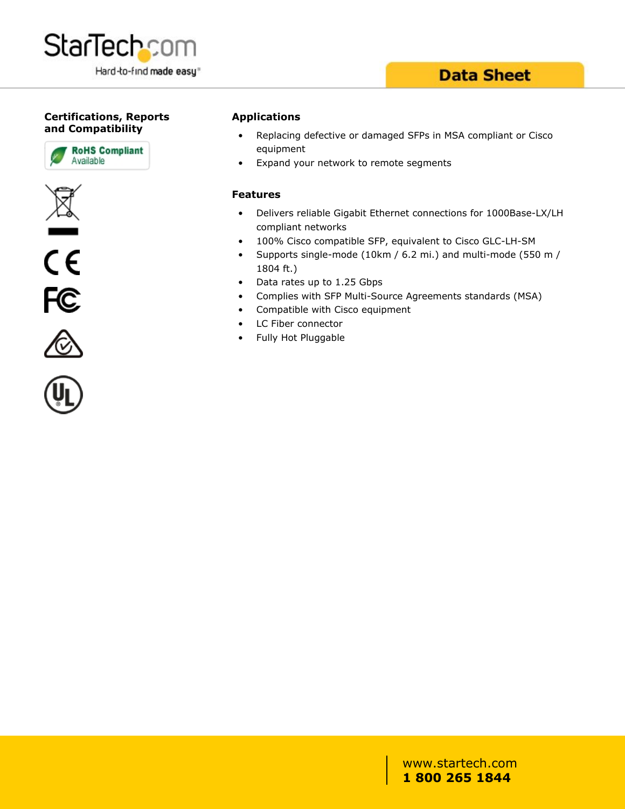

### **Data Sheet**

### **Certifications, Reports and Compatibility**









#### **Applications**

- Replacing defective or damaged SFPs in MSA compliant or Cisco equipment
- Expand your network to remote segments

#### **Features**

- Delivers reliable Gigabit Ethernet connections for 1000Base-LX/LH compliant networks
- 100% Cisco compatible SFP, equivalent to Cisco GLC-LH-SM
- Supports single-mode (10km / 6.2 mi.) and multi-mode (550 m / 1804 ft.)
- Data rates up to 1.25 Gbps
- Complies with SFP Multi-Source Agreements standards (MSA)
- Compatible with Cisco equipment
- LC Fiber connector
- Fully Hot Pluggable